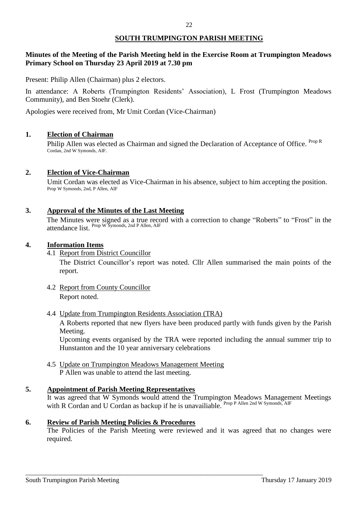# **Minutes of the Meeting of the Parish Meeting held in the Exercise Room at Trumpington Meadows Primary School on Thursday 23 April 2019 at 7.30 pm**

Present: Philip Allen (Chairman) plus 2 electors.

In attendance: A Roberts (Trumpington Residents' Association), L Frost (Trumpington Meadows Community), and Ben Stoehr (Clerk).

Apologies were received from, Mr Umit Cordan (Vice-Chairman)

#### **1. Election of Chairman**

Philip Allen was elected as Chairman and signed the Declaration of Acceptance of Office. Prop R Cordan, 2nd W Symonds, AIF.

#### **2. Election of Vice-Chairman**

Umit Cordan was elected as Vice-Chairman in his absence, subject to him accepting the position. Prop W Symonds, 2nd, P Allen, AIF

#### **3. Approval of the Minutes of the Last Meeting**

The Minutes were signed as a true record with a correction to change "Roberts" to "Frost" in the attendance list. Prop W Symonds, 2nd P Allen, AIF

#### **4. Information Items**

4.1 Report from District Councillor

The District Councillor's report was noted. Cllr Allen summarised the main points of the report.

- 4.2 Report from County Councillor Report noted.
- 4.4 Update from Trumpington Residents Association (TRA)

A Roberts reported that new flyers have been produced partly with funds given by the Parish Meeting.

Upcoming events organised by the TRA were reported including the annual summer trip to Hunstanton and the 10 year anniversary celebrations

4.5 Update on Trumpington Meadows Management Meeting P Allen was unable to attend the last meeting.

\_\_\_\_\_\_\_\_\_\_\_\_\_\_\_\_\_\_\_\_\_\_\_\_\_\_\_\_\_\_\_\_\_\_\_\_\_\_\_\_\_\_\_\_\_\_\_\_\_\_\_\_\_\_\_\_\_\_\_\_\_\_\_\_\_\_\_\_\_\_\_\_

#### **5. Appointment of Parish Meeting Representatives**

It was agreed that W Symonds would attend the Trumpington Meadows Management Meetings with R Cordan and U Cordan as backup if he is unavailiable. Prop P Allen 2nd W Symonds, AIF

#### **6. Review of Parish Meeting Policies & Procedures**

The Policies of the Parish Meeting were reviewed and it was agreed that no changes were required.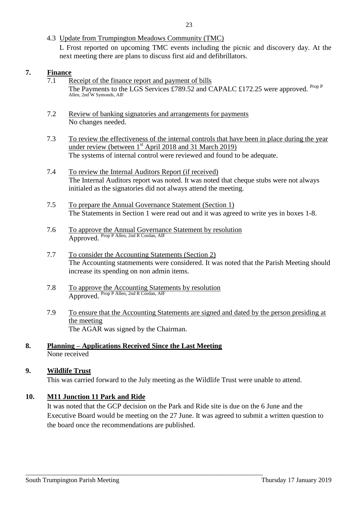4.3 Update from Trumpington Meadows Community (TMC)

L Frost reported on upcoming TMC events including the picnic and discovery day. At the next meeting there are plans to discuss first aid and defibrillators.

# **7. Finance**

- 7.1 Receipt of the finance report and payment of bills The Payments to the LGS Services £789.52 and CAPALC £172.25 were approved. Prop P Allen, 2nd W Symonds, AIF
- 7.2 Review of banking signatories and arrangements for payments No changes needed.
- 7.3 To review the effectiveness of the internal controls that have been in place during the year under review (between  $1<sup>st</sup>$  April 2018 and 31 March 2019) The systems of internal control were reviewed and found to be adequate.
- 7.4 To review the Internal Auditors Report (if received) The Internal Auditors report was noted. It was noted that cheque stubs were not always initialed as the signatories did not always attend the meeting.
- 7.5 To prepare the Annual Governance Statement (Section 1) The Statements in Section 1 were read out and it was agreed to write yes in boxes 1-8.
- 7.6 To approve the Annual Governance Statement by resolution Approved. Prop P Allen, 2nd R Cordan, AIF
- 7.7 To consider the Accounting Statements (Section 2) The Accounting statmements were considered. It was noted that the Parish Meeting should increase its spending on non admin items.
- 7.8 To approve the Accounting Statements by resolution Approved. Prop P Allen, 2nd R Cordan, AIF
- 7.9 To ensure that the Accounting Statements are signed and dated by the person presiding at the meeting The AGAR was signed by the Chairman.

## **8. Planning – Applications Received Since the Last Meeting** None received

\_\_\_\_\_\_\_\_\_\_\_\_\_\_\_\_\_\_\_\_\_\_\_\_\_\_\_\_\_\_\_\_\_\_\_\_\_\_\_\_\_\_\_\_\_\_\_\_\_\_\_\_\_\_\_\_\_\_\_\_\_\_\_\_\_\_\_\_\_\_\_\_

## **9. Wildlife Trust**

This was carried forward to the July meeting as the Wildlife Trust were unable to attend.

# **10. M11 Junction 11 Park and Ride**

It was noted that the GCP decision on the Park and Ride site is due on the 6 June and the Executive Board would be meeting on the 27 June. It was agreed to submit a written question to the board once the recommendations are published.